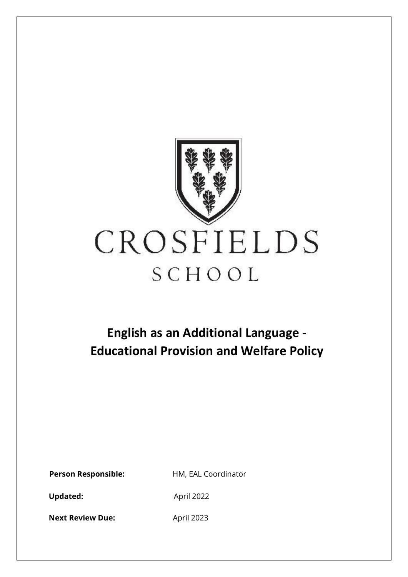

# **English as an Additional Language - Educational Provision and Welfare Policy**

**Person Responsible:** HM, EAL Coordinator

Updated: April 2022

**Next Review Due:** April 2023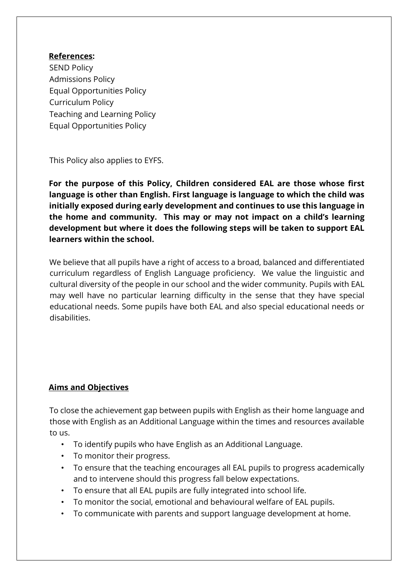### **References:**

SEND Policy Admissions Policy Equal Opportunities Policy Curriculum Policy Teaching and Learning Policy Equal Opportunities Policy

This Policy also applies to EYFS.

**For the purpose of this Policy, Children considered EAL are those whose first language is other than English. First language is language to which the child was initially exposed during early development and continues to use this language in the home and community. This may or may not impact on a child's learning development but where it does the following steps will be taken to support EAL learners within the school.**

We believe that all pupils have a right of access to a broad, balanced and differentiated curriculum regardless of English Language proficiency. We value the linguistic and cultural diversity of the people in our school and the wider community. Pupils with EAL may well have no particular learning difficulty in the sense that they have special educational needs. Some pupils have both EAL and also special educational needs or disabilities.

# **Aims and Objectives**

To close the achievement gap between pupils with English as their home language and those with English as an Additional Language within the times and resources available to us.

- To identify pupils who have English as an Additional Language.
- To monitor their progress.
- To ensure that the teaching encourages all EAL pupils to progress academically and to intervene should this progress fall below expectations.
- To ensure that all EAL pupils are fully integrated into school life.
- To monitor the social, emotional and behavioural welfare of EAL pupils.
- To communicate with parents and support language development at home.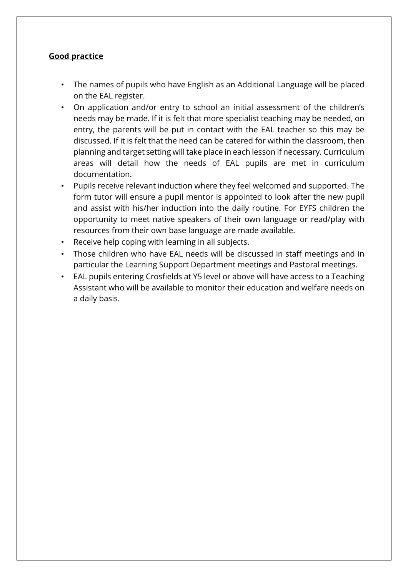## **Good practice**

- The names of pupils who have English as an Additional Language will be placed on the EAL register.
- On application and/or entry to school an initial assessment of the children's needs may be made. If it is felt that more specialist teaching may be needed, on entry, the parents will be put in contact with the EAL teacher so this may be discussed. If it is felt that the need can be catered for within the classroom, then planning and target setting will take place in each lesson if necessary. Curriculum areas will detail how the needs of EAL pupils are met in curriculum documentation.
- Pupils receive relevant induction where they feel welcomed and supported. The form tutor will ensure a pupil mentor is appointed to look after the new pupil and assist with his/her induction into the daily routine. For EYFS children the opportunity to meet native speakers of their own language or read/play with resources from their own base language are made available.
- Receive help coping with learning in all subjects.
- Those children who have EAL needs will be discussed in staff meetings and in particular the Learning Support Department meetings and Pastoral meetings.
- EAL pupils entering Crosfields at Y5 level or above will have access to a Teaching Assistant who will be available to monitor their education and welfare needs on a daily basis.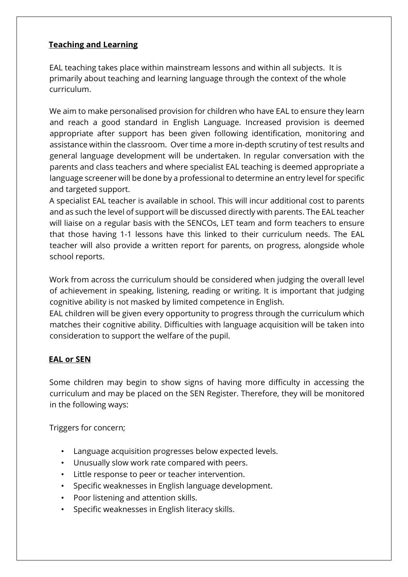# **Teaching and Learning**

EAL teaching takes place within mainstream lessons and within all subjects. It is primarily about teaching and learning language through the context of the whole curriculum.

We aim to make personalised provision for children who have EAL to ensure they learn and reach a good standard in English Language. Increased provision is deemed appropriate after support has been given following identification, monitoring and assistance within the classroom. Over time a more in-depth scrutiny of test results and general language development will be undertaken. In regular conversation with the parents and class teachers and where specialist EAL teaching is deemed appropriate a language screener will be done by a professional to determine an entry level for specific and targeted support.

A specialist EAL teacher is available in school. This will incur additional cost to parents and as such the level of support will be discussed directly with parents. The EAL teacher will liaise on a regular basis with the SENCOs, LET team and form teachers to ensure that those having 1-1 lessons have this linked to their curriculum needs. The EAL teacher will also provide a written report for parents, on progress, alongside whole school reports.

Work from across the curriculum should be considered when judging the overall level of achievement in speaking, listening, reading or writing. It is important that judging cognitive ability is not masked by limited competence in English.

EAL children will be given every opportunity to progress through the curriculum which matches their cognitive ability. Difficulties with language acquisition will be taken into consideration to support the welfare of the pupil.

### **EAL or SEN**

Some children may begin to show signs of having more difficulty in accessing the curriculum and may be placed on the SEN Register. Therefore, they will be monitored in the following ways:

Triggers for concern;

- Language acquisition progresses below expected levels.
- Unusually slow work rate compared with peers.
- Little response to peer or teacher intervention.
- Specific weaknesses in English language development.
- Poor listening and attention skills.
- Specific weaknesses in English literacy skills.